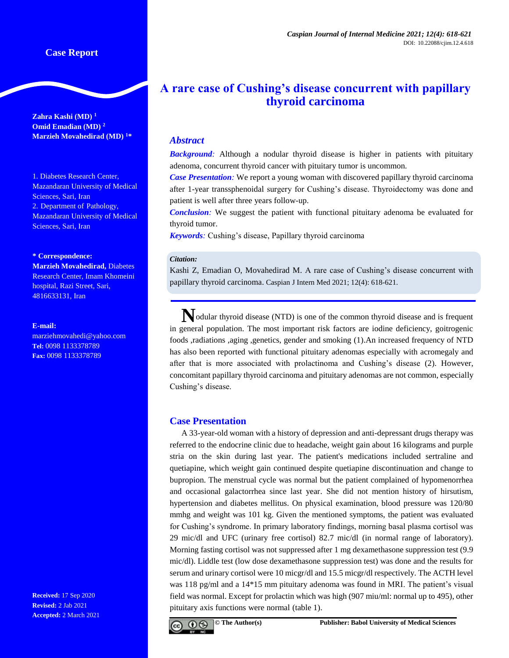**Zahra Kashi (MD) <sup>1</sup> Omid Emadian (MD) <sup>2</sup> Marzieh Movahedirad (MD) <sup>1</sup>\***

1. Diabetes Research Center, Mazandaran University of Medical Sciences, Sari, Iran 2. Department of Pathology, Mazandaran University of Medical Sciences, Sari, Iran

#### **\* Correspondence:**

**Marzieh Movahedirad,** Diabetes Research Center, Imam Khomeini hospital, Razi Street, Sari, 4816633131, Iran

#### **E-mail:**

marziehmovahedi@yahoo.com **Tel:** 0098 1133378789 **Fax:** 0098 1133378789

**Received:** 17 Sep 2020 **Revised:** 2 Jab 2021 **Accepted:** 2 March 2021

# **A rare case of Cushing's disease concurrent with papillary thyroid carcinoma**

# *Abstract*

**Background**: Although a nodular thyroid disease is higher in patients with pituitary adenoma, concurrent thyroid cancer with pituitary tumor is uncommon.

*Case Presentation:* We report a young woman with discovered papillary thyroid carcinoma after 1-year transsphenoidal surgery for Cushing's disease. Thyroidectomy was done and patient is well after three years follow-up.

*Conclusion:* We suggest the patient with functional pituitary adenoma be evaluated for thyroid tumor.

*Keywords:* Cushing's disease, Papillary thyroid carcinoma

#### *Citation:*

Kashi Z, Emadian O, Movahedirad M. A rare case of Cushing's disease concurrent with papillary thyroid carcinoma. Caspian J Intern Med 2021; 12(4): 618-621.

**N**odular thyroid disease (NTD) is one of the common thyroid disease and is frequent in general population. The most important risk factors are iodine deficiency, goitrogenic foods ,radiations ,aging ,genetics, gender and smoking (1).An increased frequency of NTD has also been reported with functional pituitary adenomas especially with acromegaly and after that is more associated with prolactinoma and Cushing's disease (2). However, concomitant papillary thyroid carcinoma and pituitary adenomas are not common, especially Cushing's disease.

## **Case Presentation**

A 33-year-old woman with a history of depression and anti-depressant drugs therapy was referred to the endocrine clinic due to headache, weight gain about 16 kilograms and purple stria on the skin during last year. The patient's medications included sertraline and quetiapine, which weight gain continued despite quetiapine discontinuation and change to bupropion. The menstrual cycle was normal but the patient complained of hypomenorrhea and occasional galactorrhea since last year. She did not mention history of hirsutism, hypertension and diabetes mellitus. On physical examination, blood pressure was 120/80 mmhg and weight was 101 kg. Given the mentioned symptoms, the patient was evaluated for Cushing's syndrome. In primary laboratory findings, morning basal plasma cortisol was 29 mic/dl and UFC (urinary free cortisol) 82.7 mic/dl (in normal range of laboratory). Morning fasting cortisol was not suppressed after 1 mg dexamethasone suppression test (9.9 mic/dl). Liddle test (low dose dexamethasone suppression test) was done and the results for serum and urinary cortisol were 10 micgr/dl and 15.5 micgr/dl respectively. The ACTH level was 118 pg/ml and a 14\*15 mm pituitary adenoma was found in MRI. The patient's visual field was normal. Except for prolactin which was high (907 miu/ml: normal up to 495), other pituitary axis functions were normal (table 1).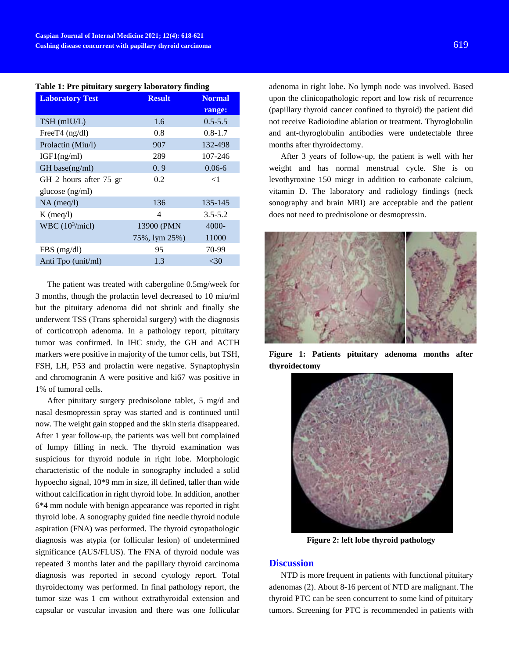| <b>Result</b> | <b>Normal</b> |
|---------------|---------------|
|               | range:        |
| 1.6           | $0.5 - 5.5$   |
| 0.8           | $0.8 - 1.7$   |
| 907           | 132-498       |
| 289           | 107-246       |
| 0.9           | $0.06 - 6$    |
| 0.2           | $<$ 1         |
|               |               |
| 136           | 135-145       |
| 4             | $3.5 - 5.2$   |
| 13900 (PMN    | $4000 -$      |
| 75%, lym 25%) | 11000         |
| 95            | 70-99         |
| 1.3           | $<$ 30        |
|               |               |

|  |  | Table 1: Pre pituitary surgery laboratory finding |  |
|--|--|---------------------------------------------------|--|
|  |  |                                                   |  |

The patient was treated with cabergoline 0.5mg/week for 3 months, though the prolactin level decreased to 10 miu/ml but the pituitary adenoma did not shrink and finally she underwent TSS (Trans spheroidal surgery) with the diagnosis of corticotroph adenoma. In a pathology report, pituitary tumor was confirmed. In IHC study, the GH and ACTH markers were positive in majority of the tumor cells, but TSH, FSH, LH, P53 and prolactin were negative. Synaptophysin and chromogranin A were positive and ki67 was positive in 1% of tumoral cells.

After pituitary surgery prednisolone tablet, 5 mg/d and nasal desmopressin spray was started and is continued until now. The weight gain stopped and the skin steria disappeared. After 1 year follow-up, the patients was well but complained of lumpy filling in neck. The thyroid examination was suspicious for thyroid nodule in right lobe. Morphologic characteristic of the nodule in sonography included a solid hypoecho signal, 10\*9 mm in size, ill defined, taller than wide without calcification in right thyroid lobe. In addition, another 6\*4 mm nodule with benign appearance was reported in right thyroid lobe. A sonography guided fine needle thyroid nodule aspiration (FNA) was performed. The thyroid cytopathologic diagnosis was atypia (or follicular lesion) of undetermined significance (AUS/FLUS). The FNA of thyroid nodule was repeated 3 months later and the papillary thyroid carcinoma diagnosis was reported in second cytology report. Total thyroidectomy was performed. In final pathology report, the tumor size was 1 cm without extrathyroidal extension and capsular or vascular invasion and there was one follicular

adenoma in right lobe. No lymph node was involved. Based upon the clinicopathologic report and low risk of recurrence (papillary thyroid cancer confined to thyroid) the patient did not receive Radioiodine ablation or treatment. Thyroglobulin and ant-thyroglobulin antibodies were undetectable three months after thyroidectomy.

After 3 years of follow-up, the patient is well with her weight and has normal menstrual cycle. She is on levothyroxine 150 micgr in addition to carbonate calcium, vitamin D. The laboratory and radiology findings (neck sonography and brain MRI) are acceptable and the patient does not need to prednisolone or desmopressin.



**Figure 1: Patients pituitary adenoma months after thyroidectomy**



**Figure 2: left lobe thyroid pathology**

### **Discussion**

NTD is more frequent in patients with functional pituitary adenomas (2). About 8-16 percent of NTD are malignant. The thyroid PTC can be seen concurrent to some kind of pituitary tumors. Screening for PTC is recommended in patients with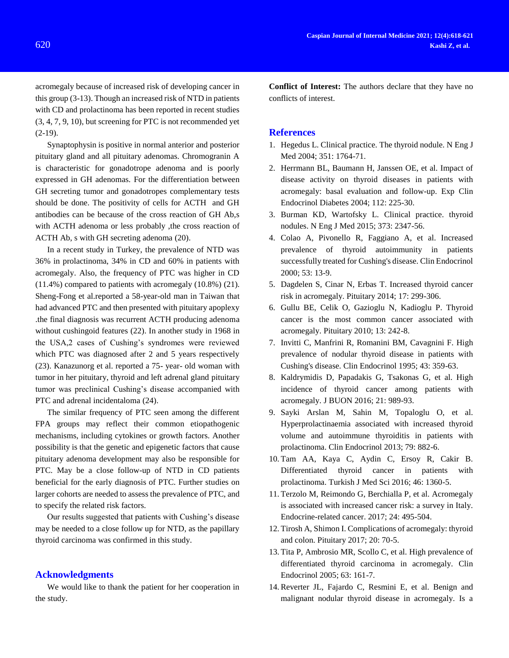acromegaly because of increased risk of developing cancer in this group (3-13). Though an increased risk of NTD in patients with CD and prolactinoma has been reported in recent studies (3, 4, 7, 9, 10), but screening for PTC is not recommended yet (2-19).

Synaptophysin is positive in normal anterior and posterior pituitary gland and all pituitary adenomas. Chromogranin A is characteristic for gonadotrope adenoma and is poorly expressed in GH adenomas. For the differentiation between GH secreting tumor and gonadotropes complementary tests should be done. The positivity of cells for ACTH and GH antibodies can be because of the cross reaction of GH Ab,s with ACTH adenoma or less probably ,the cross reaction of ACTH Ab, s with GH secreting adenoma (20).

In a recent study in Turkey, the prevalence of NTD was 36% in prolactinoma, 34% in CD and 60% in patients with acromegaly. Also, the frequency of PTC was higher in CD (11.4%) compared to patients with acromegaly (10.8%) (21). Sheng-Fong et al.reported a 58-year-old man in Taiwan that had advanced PTC and then presented with pituitary apoplexy .the final diagnosis was recurrent ACTH producing adenoma without cushingoid features (22). In another study in 1968 in the USA,2 cases of Cushing's syndromes were reviewed which PTC was diagnosed after 2 and 5 years respectively (23). Kanazunorg et al. reported a 75- year- old woman with tumor in her pituitary, thyroid and left adrenal gland pituitary tumor was preclinical Cushing's disease accompanied with PTC and adrenal incidentaloma (24).

The similar frequency of PTC seen among the different FPA groups may reflect their common etiopathogenic mechanisms, including cytokines or growth factors. Another possibility is that the genetic and epigenetic factors that cause pituitary adenoma development may also be responsible for PTC. May be a close follow-up of NTD in CD patients beneficial for the early diagnosis of PTC. Further studies on larger cohorts are needed to assess the prevalence of PTC, and to specify the related risk factors.

Our results suggested that patients with Cushing's disease may be needed to a close follow up for NTD, as the papillary thyroid carcinoma was confirmed in this study.

## **Acknowledgments**

We would like to thank the patient for her cooperation in the study.

**Conflict of Interest:** The authors declare that they have no conflicts of interest.

## **References**

- 1. Hegedus L. Clinical practice. The thyroid nodule. N Eng J Med 2004; 351: 1764-71.
- 2. Herrmann BL, Baumann H, Janssen OE, et al. Impact of disease activity on thyroid diseases in patients with acromegaly: basal evaluation and follow-up. Exp Clin Endocrinol Diabetes 2004; 112: 225-30.
- 3. Burman KD, Wartofsky L. Clinical practice. thyroid nodules. N Eng J Med 2015; 373: 2347-56.
- 4. Colao A, Pivonello R, Faggiano A, et al. Increased prevalence of thyroid autoimmunity in patients successfully treated for Cushing's disease. Clin Endocrinol 2000; 53: 13-9.
- 5. Dagdelen S, Cinar N, Erbas T. Increased thyroid cancer risk in acromegaly. Pituitary 2014; 17: 299-306.
- 6. Gullu BE, Celik O, Gazioglu N, Kadioglu P. Thyroid cancer is the most common cancer associated with acromegaly. Pituitary 2010; 13: 242-8.
- 7. Invitti C, Manfrini R, Romanini BM, Cavagnini F. High prevalence of nodular thyroid disease in patients with Cushing's disease. Clin Endocrinol 1995; 43: 359-63.
- 8. Kaldrymidis D, Papadakis G, Tsakonas G, et al. High incidence of thyroid cancer among patients with acromegaly. J BUON 2016; 21: 989-93.
- 9. Sayki Arslan M, Sahin M, Topaloglu O, et al. Hyperprolactinaemia associated with increased thyroid volume and autoimmune thyroiditis in patients with prolactinoma. Clin Endocrinol 2013; 79: 882-6.
- 10. Tam AA, Kaya C, Aydin C, Ersoy R, Cakir B. Differentiated thyroid cancer in patients with prolactinoma. Turkish J Med Sci 2016; 46: 1360-5.
- 11. Terzolo M, Reimondo G, Berchialla P, et al. Acromegaly is associated with increased cancer risk: a survey in Italy. Endocrine-related cancer. 2017; 24: 495-504.
- 12. Tirosh A, Shimon I. Complications of acromegaly: thyroid and colon. Pituitary 2017; 20: 70-5.
- 13. Tita P, Ambrosio MR, Scollo C, et al. High prevalence of differentiated thyroid carcinoma in acromegaly. Clin Endocrinol 2005; 63: 161-7.
- 14. Reverter JL, Fajardo C, Resmini E, et al. Benign and malignant nodular thyroid disease in acromegaly. Is a